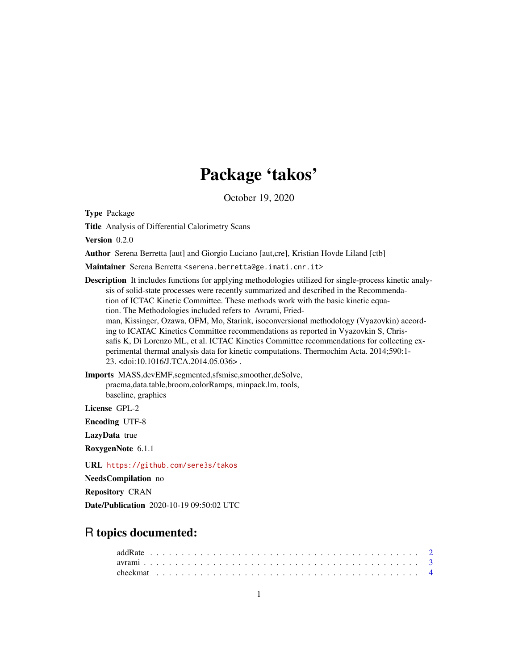# Package 'takos'

October 19, 2020

Type Package

Title Analysis of Differential Calorimetry Scans

Version 0.2.0

Author Serena Berretta [aut] and Giorgio Luciano [aut,cre], Kristian Hovde Liland [ctb]

Maintainer Serena Berretta <serena.berretta@ge.imati.cnr.it>

Description It includes functions for applying methodologies utilized for single-process kinetic analysis of solid-state processes were recently summarized and described in the Recommendation of ICTAC Kinetic Committee. These methods work with the basic kinetic equation. The Methodologies included refers to Avrami, Friedman, Kissinger, Ozawa, OFM, Mo, Starink, isoconversional methodology (Vyazovkin) according to ICATAC Kinetics Committee recommendations as reported in Vyazovkin S, Chrissafis K, Di Lorenzo ML, et al. ICTAC Kinetics Committee recommendations for collecting experimental thermal analysis data for kinetic computations. Thermochim Acta. 2014;590:1- 23. <doi:10.1016/J.TCA.2014.05.036> .

Imports MASS,devEMF,segmented,sfsmisc,smoother,deSolve, pracma,data.table,broom,colorRamps, minpack.lm, tools, baseline, graphics

License GPL-2

Encoding UTF-8

LazyData true

RoxygenNote 6.1.1

URL <https://github.com/sere3s/takos>

NeedsCompilation no

Repository CRAN

Date/Publication 2020-10-19 09:50:02 UTC

# R topics documented: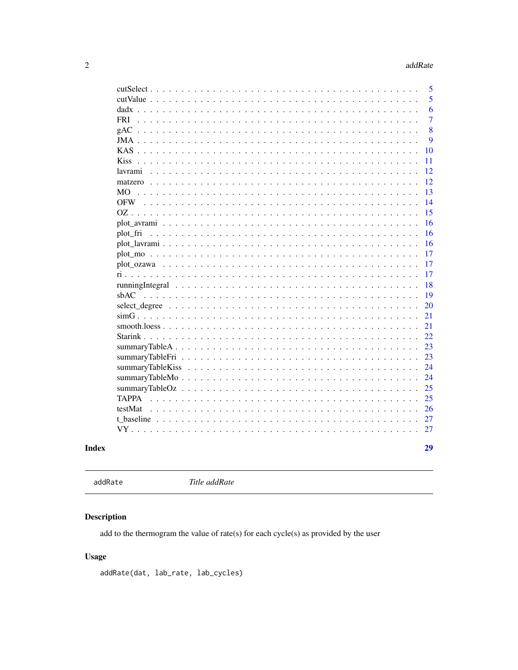<span id="page-1-0"></span>

|                                                                                                          | 5              |
|----------------------------------------------------------------------------------------------------------|----------------|
|                                                                                                          | 5              |
| dadx                                                                                                     | 6              |
| <b>FRI</b>                                                                                               | $\overline{7}$ |
| gAC                                                                                                      | 8              |
|                                                                                                          | 9              |
|                                                                                                          | 10             |
| <b>Kiss</b>                                                                                              | 11             |
| lavrami                                                                                                  | 12             |
|                                                                                                          | 12             |
| <b>MO</b><br>and the control of                                                                          | 13             |
| $OFW$                                                                                                    | 14             |
|                                                                                                          | 15             |
| plot avrami $\ldots \ldots \ldots \ldots \ldots \ldots \ldots \ldots \ldots \ldots \ldots \ldots \ldots$ | 16             |
| plot fri                                                                                                 | 16             |
|                                                                                                          | 16             |
|                                                                                                          | 17             |
|                                                                                                          | 17             |
|                                                                                                          | 17             |
|                                                                                                          | 18             |
| sbAC                                                                                                     | 19             |
|                                                                                                          | 20             |
|                                                                                                          | 21             |
|                                                                                                          | 21             |
|                                                                                                          | 22             |
|                                                                                                          | 23             |
|                                                                                                          | 23             |
|                                                                                                          | 24             |
|                                                                                                          | 24             |
|                                                                                                          | 25             |
| <b>TAPPA</b><br><u>.</u>                                                                                 | 25             |
| testMat                                                                                                  | 26             |
|                                                                                                          | 27             |
| VY<br>and and                                                                                            | 27             |
|                                                                                                          |                |
|                                                                                                          | 29             |
|                                                                                                          |                |

# **Index**

```
addRate
```
Title addRate

# **Description**

add to the thermogram the value of rate(s) for each cycle(s) as provided by the user

# **Usage**

addRate(dat, lab\_rate, lab\_cycles)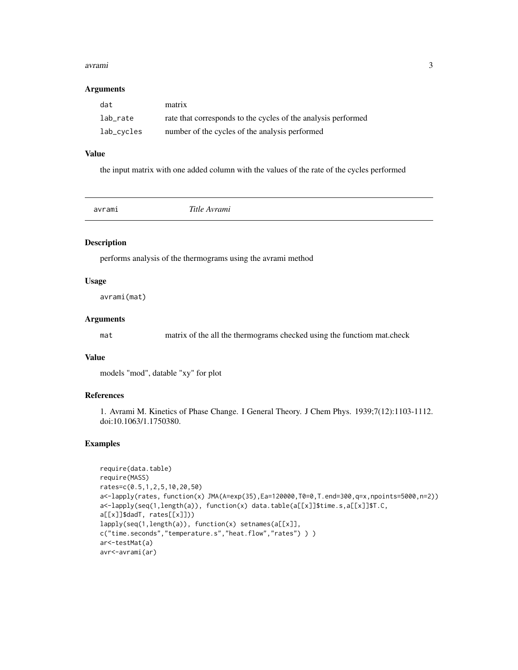#### <span id="page-2-0"></span>avrami 3

#### Arguments

| dat        | matrix                                                        |
|------------|---------------------------------------------------------------|
| lab rate   | rate that corresponds to the cycles of the analysis performed |
| lab_cycles | number of the cycles of the analysis performed                |

#### Value

the input matrix with one added column with the values of the rate of the cycles performed

avrami *Title Avrami*

#### Description

performs analysis of the thermograms using the avrami method

#### Usage

avrami(mat)

#### Arguments

mat matrix of the all the thermograms checked using the functiom mat.check

# Value

models "mod", datable "xy" for plot

# References

1. Avrami M. Kinetics of Phase Change. I General Theory. J Chem Phys. 1939;7(12):1103-1112. doi:10.1063/1.1750380.

```
require(data.table)
require(MASS)
rates=c(0.5,1,2,5,10,20,50)
a<-lapply(rates, function(x) JMA(A=exp(35),Ea=120000,T0=0,T.end=300,q=x,npoints=5000,n=2))
a<-lapply(seq(1,length(a)), function(x) data.table(a[[x]]$time.s,a[[x]]$T.C,
a[[x]]$dadT, rates[[x]]))
lapply(seq(1,length(a)), function(x) setnames(a[[x]],
c("time.seconds","temperature.s","heat.flow","rates") ) )
ar<-testMat(a)
avr<-avrami(ar)
```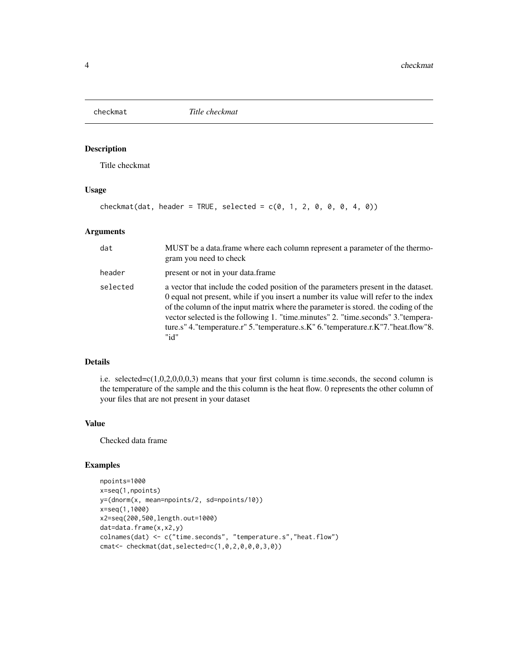<span id="page-3-0"></span>

Title checkmat

#### Usage

```
checkmat(data, header = TRUE, selected = c(0, 1, 2, 0, 0, 4, 0))
```
#### Arguments

| dat      | MUST be a data frame where each column represent a parameter of the thermo-<br>gram you need to check                                                                                                                                                                                                                                                                                                                                           |
|----------|-------------------------------------------------------------------------------------------------------------------------------------------------------------------------------------------------------------------------------------------------------------------------------------------------------------------------------------------------------------------------------------------------------------------------------------------------|
| header   | present or not in your data. frame                                                                                                                                                                                                                                                                                                                                                                                                              |
| selected | a vector that include the coded position of the parameters present in the dataset.<br>0 equal not present, while if you insert a number its value will refer to the index<br>of the column of the input matrix where the parameter is stored, the coding of the<br>vector selected is the following 1. "time.minutes" 2. "time.seconds" 3."tempera-<br>ture.s" 4."temperature.r" 5."temperature.s.K" 6."temperature.r.K"7."heat.flow"8.<br>"id" |

#### Details

i.e. selected= $c(1,0,2,0,0,0,3)$  means that your first column is time.seconds, the second column is the temperature of the sample and the this column is the heat flow. 0 represents the other column of your files that are not present in your dataset

# Value

Checked data frame

```
npoints=1000
x=seq(1,npoints)
y=(dnorm(x, mean=npoints/2, sd=npoints/10))
x=seq(1,1000)
x2=seq(200,500,length.out=1000)
dat=data.frame(x,x2,y)
colnames(dat) <- c("time.seconds", "temperature.s","heat.flow")
cmat<- checkmat(dat,selected=c(1,0,2,0,0,0,3,0))
```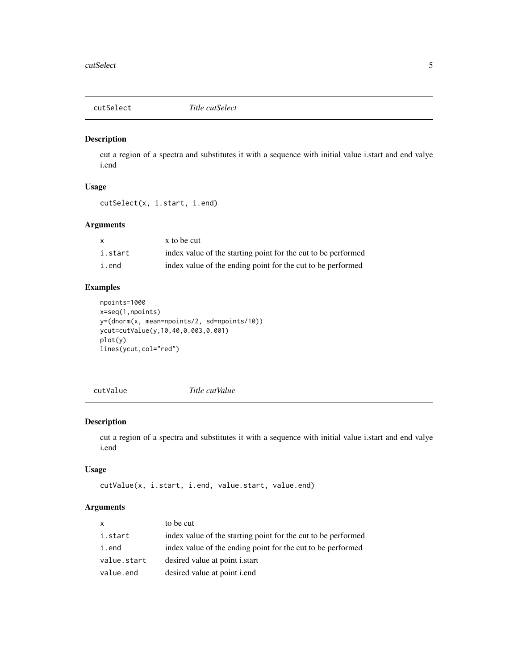<span id="page-4-0"></span>

cut a region of a spectra and substitutes it with a sequence with initial value i.start and end valye i.end

# Usage

```
cutSelect(x, i.start, i.end)
```
#### Arguments

| x       | x to be cut                                                   |
|---------|---------------------------------------------------------------|
| i.start | index value of the starting point for the cut to be performed |
| i.end   | index value of the ending point for the cut to be performed   |

# Examples

```
npoints=1000
x=seq(1,npoints)
y=(dnorm(x, mean=npoints/2, sd=npoints/10))
ycut=cutValue(y,10,40,0.003,0.001)
plot(y)
lines(ycut,col="red")
```
cutValue *Title cutValue*

#### Description

cut a region of a spectra and substitutes it with a sequence with initial value i.start and end valye i.end

# Usage

```
cutValue(x, i.start, i.end, value.start, value.end)
```
#### Arguments

| X           | to be cut                                                     |
|-------------|---------------------------------------------------------------|
| i.start     | index value of the starting point for the cut to be performed |
| i.end       | index value of the ending point for the cut to be performed   |
| value.start | desired value at point <i>i.start</i>                         |
| value.end   | desired value at point <i>i.end</i>                           |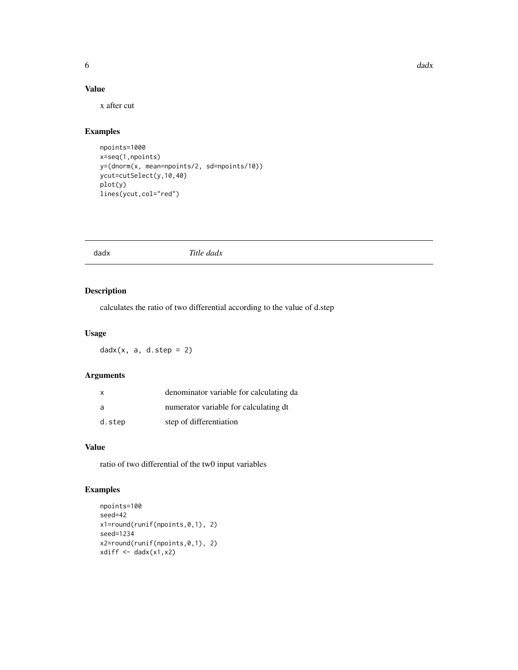# <span id="page-5-0"></span>Value

x after cut

# Examples

```
npoints=1000
x=seq(1,npoints)
y=(dnorm(x, mean=npoints/2, sd=npoints/10))
ycut=cutSelect(y,10,40)
plot(y)
lines(ycut,col="red")
```
dadx *Title dadx*

# Description

calculates the ratio of two differential according to the value of d.step

#### Usage

 $d$ adx(x, a, d.step = 2)

# Arguments

| $\mathsf{x}$ | denominator variable for calculating da |
|--------------|-----------------------------------------|
| a            | numerator variable for calculating dt   |
| d.step       | step of differentiation                 |

#### Value

ratio of two differential of the tw0 input variables

```
npoints=100
seed=42
x1=round(runif(npoints,0,1), 2)
seed=1234
x2=round(runif(npoints,0,1), 2)
xdiff \leftarrow dadx(x1, x2)
```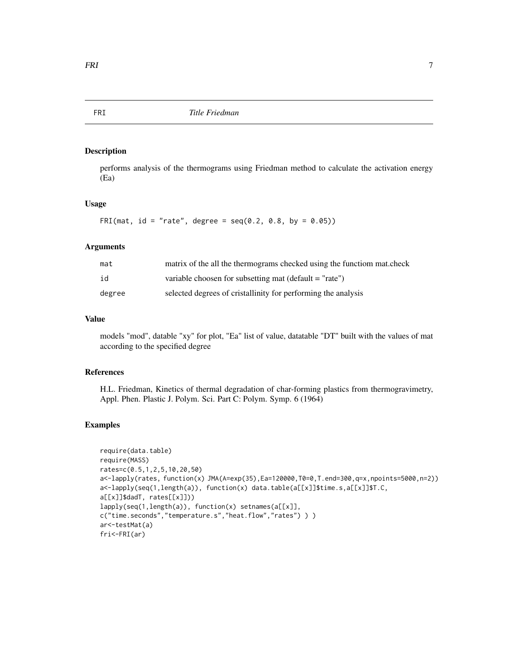<span id="page-6-0"></span>

performs analysis of the thermograms using Friedman method to calculate the activation energy (Ea)

#### Usage

FRI(mat, id = "rate", degree =  $seq(0.2, 0.8, by = 0.05)$ )

# Arguments

| mat    | matrix of the all the thermograms checked using the function mat.check |
|--------|------------------------------------------------------------------------|
| id     | variable choosen for subsetting mat (default $=$ "rate")               |
| degree | selected degrees of cristallinity for performing the analysis          |

#### Value

models "mod", datable "xy" for plot, "Ea" list of value, datatable "DT" built with the values of mat according to the specified degree

#### References

H.L. Friedman, Kinetics of thermal degradation of char-forming plastics from thermogravimetry, Appl. Phen. Plastic J. Polym. Sci. Part C: Polym. Symp. 6 (1964)

```
require(data.table)
require(MASS)
rates=c(0.5,1,2,5,10,20,50)
a<-lapply(rates, function(x) JMA(A=exp(35),Ea=120000,T0=0,T.end=300,q=x,npoints=5000,n=2))
a<-lapply(seq(1,length(a)), function(x) data.table(a[[x]]$time.s,a[[x]]$T.C,
a[[x]]$dadT, rates[[x]]))
lapply(seq(1,length(a)), function(x) setnames(a[[x]],
c("time.seconds","temperature.s","heat.flow","rates") ) )
ar<-testMat(a)
fri<-FRI(ar)
```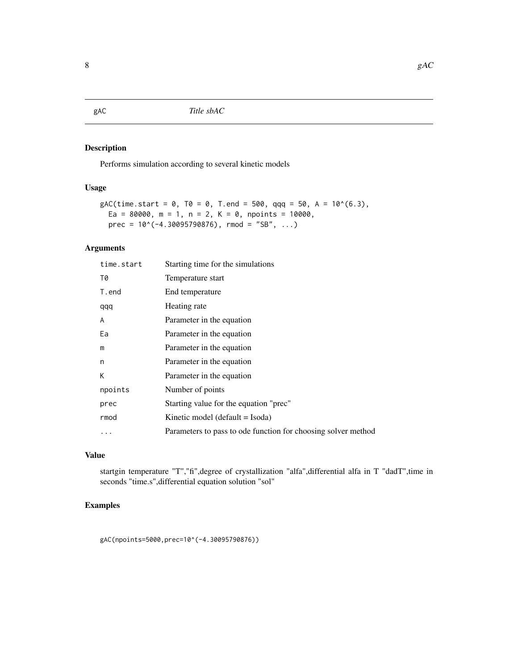<span id="page-7-0"></span>gAC *Title sbAC*

# Description

Performs simulation according to several kinetic models

# Usage

```
gAC(time.start = 0, T0 = 0, T.end = 500, qqq = 50, A = 10^(6.3),Ea = 80000, m = 1, n = 2, K = 0, npoints = 10000,
 prec = 10^*(-4.30095790876), rmod = "SB", ...)
```
#### Arguments

| time.start | Starting time for the simulations                             |
|------------|---------------------------------------------------------------|
| T0         | Temperature start                                             |
| T.end      | End temperature                                               |
| qqq        | Heating rate                                                  |
| A          | Parameter in the equation                                     |
| Ea         | Parameter in the equation                                     |
| m          | Parameter in the equation                                     |
| n          | Parameter in the equation                                     |
| К          | Parameter in the equation                                     |
| npoints    | Number of points                                              |
| prec       | Starting value for the equation "prec"                        |
| rmod       | Kinetic model (default = Isoda)                               |
| $\cdots$   | Parameters to pass to ode function for choosing solver method |

#### Value

startgin temperature "T","fi",degree of crystallization "alfa",differential alfa in T "dadT",time in seconds "time.s",differential equation solution "sol"

# Examples

gAC(npoints=5000,prec=10^(-4.30095790876))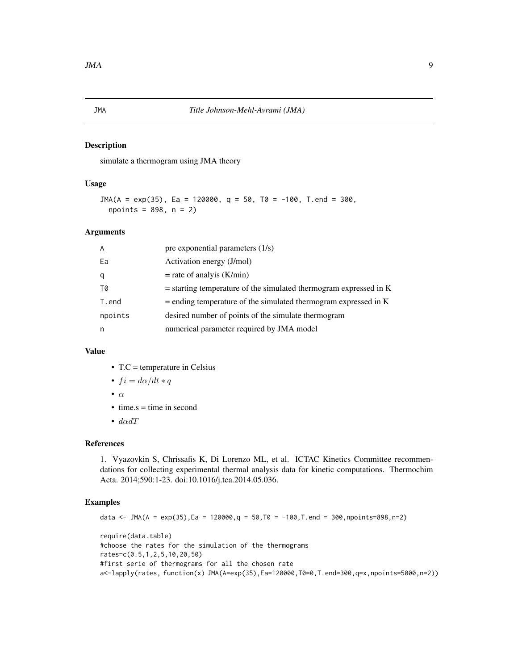<span id="page-8-0"></span>simulate a thermogram using JMA theory

#### Usage

 $JMA(A = exp(35), Ea = 120000, q = 50, T0 = -100, T.end = 300,$  $npoints = 898, n = 2)$ 

#### Arguments

| $\overline{A}$ | pre exponential parameters $(1/s)$                                  |
|----------------|---------------------------------------------------------------------|
| Ea             | Activation energy (J/mol)                                           |
| q              | $=$ rate of analyis (K/min)                                         |
| T0             | $=$ starting temperature of the simulated thermogram expressed in K |
| T.end          | $=$ ending temperature of the simulated thermogram expressed in K   |
| npoints        | desired number of points of the simulate thermogram                 |
| n              | numerical parameter required by JMA model                           |

#### Value

- T.C = temperature in Celsius
- $fi = d\alpha/dt * q$
- $\bullet$   $\alpha$
- $\bullet$  time.s = time in second
- $d\alpha dT$

#### References

1. Vyazovkin S, Chrissafis K, Di Lorenzo ML, et al. ICTAC Kinetics Committee recommendations for collecting experimental thermal analysis data for kinetic computations. Thermochim Acta. 2014;590:1-23. doi:10.1016/j.tca.2014.05.036.

```
data <- JMA(A = exp(35), Ea = 120000, q = 50, T0 = -100, T. end = 300, npoints=898, n=2)
require(data.table)
#choose the rates for the simulation of the thermograms
rates=c(0.5,1,2,5,10,20,50)
#first serie of thermograms for all the chosen rate
a<-lapply(rates, function(x) JMA(A=exp(35),Ea=120000,T0=0,T.end=300,q=x,npoints=5000,n=2))
```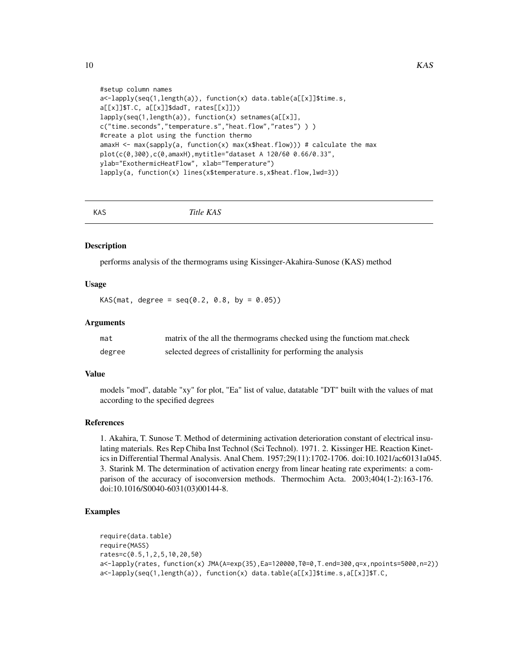```
#setup column names
a<-lapply(seq(1,length(a)), function(x) data.table(a[[x]]$time.s,
a[[x]]$T.C, a[[x]]$dadT, rates[[x]]))
lapply(seq(1,length(a)), function(x) setnames(a[[x]],
c("time.seconds","temperature.s","heat.flow","rates") ) )
#create a plot using the function thermo
amaxH <- max(sapply(a, function(x) max(x$heat.flow))) # calculate the max
plot(c(0,300),c(0,amaxH),mytitle="dataset A 120/60 0.66/0.33",
ylab="ExothermicHeatFlow", xlab="Temperature")
lapply(a, function(x) lines(x$temperature.s,x$heat.flow,lwd=3))
```
KAS *Title KAS*

#### **Description**

performs analysis of the thermograms using Kissinger-Akahira-Sunose (KAS) method

#### Usage

 $KAS(mat, degree = seq(0.2, 0.8, by = 0.05))$ 

#### Arguments

| mat    | matrix of the all the thermograms checked using the functiom mat.check |
|--------|------------------------------------------------------------------------|
| degree | selected degrees of cristallinity for performing the analysis          |

#### Value

models "mod", datable "xy" for plot, "Ea" list of value, datatable "DT" built with the values of mat according to the specified degrees

#### References

1. Akahira, T. Sunose T. Method of determining activation deterioration constant of electrical insulating materials. Res Rep Chiba Inst Technol (Sci Technol). 1971. 2. Kissinger HE. Reaction Kinetics in Differential Thermal Analysis. Anal Chem. 1957;29(11):1702-1706. doi:10.1021/ac60131a045. 3. Starink M. The determination of activation energy from linear heating rate experiments: a comparison of the accuracy of isoconversion methods. Thermochim Acta. 2003;404(1-2):163-176. doi:10.1016/S0040-6031(03)00144-8.

```
require(data.table)
require(MASS)
rates=c(0.5,1,2,5,10,20,50)
a<-lapply(rates, function(x) JMA(A=exp(35),Ea=120000,T0=0,T.end=300,q=x,npoints=5000,n=2))
a<-lapply(seq(1,length(a)), function(x) data.table(a[[x]]$time.s,a[[x]]$T.C,
```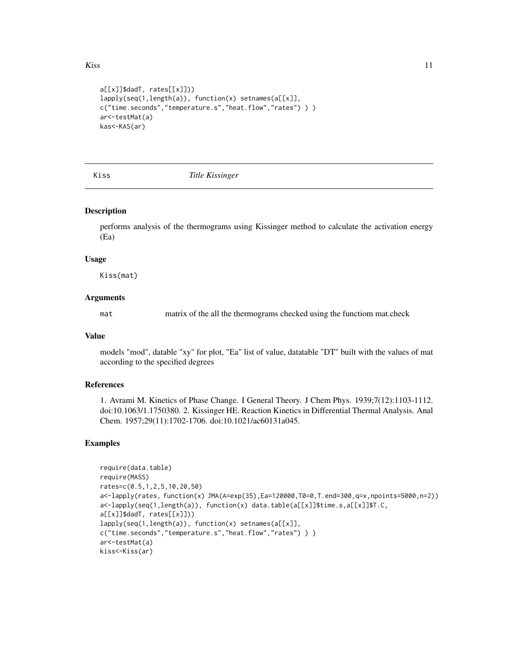```
a[[x]]$dadT, rates[[x]]))
lapply(seq(1,length(a)), function(x) setnames(a[[x]],
c("time.seconds","temperature.s","heat.flow","rates") ) )
ar<-testMat(a)
kas<-KAS(ar)
```
Kiss *Title Kissinger*

#### Description

performs analysis of the thermograms using Kissinger method to calculate the activation energy (Ea)

#### Usage

Kiss(mat)

#### Arguments

mat matrix of the all the thermograms checked using the functiom mat.check

#### Value

models "mod", datable "xy" for plot, "Ea" list of value, datatable "DT" built with the values of mat according to the specified degrees

#### References

1. Avrami M. Kinetics of Phase Change. I General Theory. J Chem Phys. 1939;7(12):1103-1112. doi:10.1063/1.1750380. 2. Kissinger HE. Reaction Kinetics in Differential Thermal Analysis. Anal Chem. 1957;29(11):1702-1706. doi:10.1021/ac60131a045.

```
require(data.table)
require(MASS)
rates=c(0.5,1,2,5,10,20,50)
a<-lapply(rates, function(x) JMA(A=exp(35),Ea=120000,T0=0,T.end=300,q=x,npoints=5000,n=2))
a<-lapply(seq(1,length(a)), function(x) data.table(a[[x]]$time.s,a[[x]]$T.C,
a[[x]]$dadT, rates[[x]]))
lapply(seq(1,length(a)), function(x) setnames(a[[x]],
c("time.seconds","temperature.s","heat.flow","rates") ) )
ar<-testMat(a)
kiss<-Kiss(ar)
```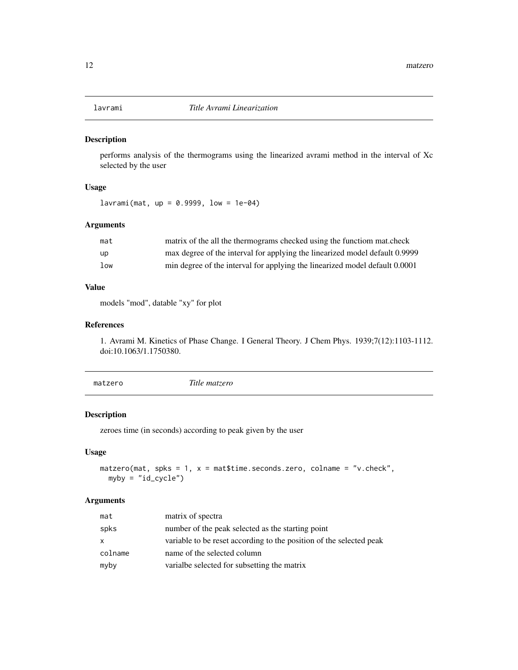<span id="page-11-0"></span>

performs analysis of the thermograms using the linearized avrami method in the interval of Xc selected by the user

## Usage

 $lavrami(mat, up = 0.9999, low =  $1e-04$ )$ 

#### Arguments

| mat | matrix of the all the thermograms checked using the function mat.check      |
|-----|-----------------------------------------------------------------------------|
| up  | max degree of the interval for applying the linearized model default 0.9999 |
| low | min degree of the interval for applying the linearized model default 0.0001 |

# Value

models "mod", datable "xy" for plot

#### References

1. Avrami M. Kinetics of Phase Change. I General Theory. J Chem Phys. 1939;7(12):1103-1112. doi:10.1063/1.1750380.

| matzero | Title matzero |
|---------|---------------|
|         |               |

# Description

zeroes time (in seconds) according to peak given by the user

# Usage

```
matzero(mat, spks = 1, x = mat$time.seconds.zero, colname = "v.check",
 myby = "id_cycle")
```
#### Arguments

| mat     | matrix of spectra                                                   |
|---------|---------------------------------------------------------------------|
| spks    | number of the peak selected as the starting point                   |
| x       | variable to be reset according to the position of the selected peak |
| colname | name of the selected column                                         |
| myby    | variable selected for subsetting the matrix                         |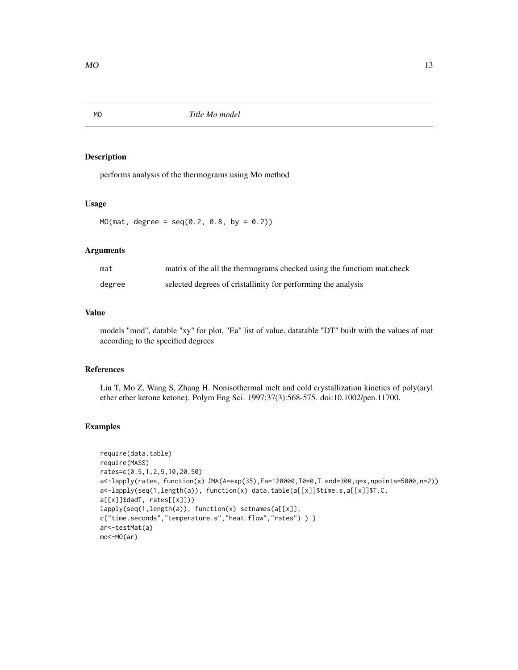<span id="page-12-0"></span>

performs analysis of the thermograms using Mo method

#### Usage

 $MO(max, degree = seq(0.2, 0.8, by = 0.2))$ 

# Arguments

| mat    | matrix of the all the thermograms checked using the functiom mat.check |
|--------|------------------------------------------------------------------------|
| degree | selected degrees of cristallinity for performing the analysis          |

# Value

models "mod", datable "xy" for plot, "Ea" list of value, datatable "DT" built with the values of mat according to the specified degrees

# References

Liu T, Mo Z, Wang S, Zhang H. Nonisothermal melt and cold crystallization kinetics of poly(aryl ether ether ketone ketone). Polym Eng Sci. 1997;37(3):568-575. doi:10.1002/pen.11700.

```
require(data.table)
require(MASS)
rates=c(0.5,1,2,5,10,20,50)
a<-lapply(rates, function(x) JMA(A=exp(35),Ea=120000,T0=0,T.end=300,q=x,npoints=5000,n=2))
a<-lapply(seq(1,length(a)), function(x) data.table(a[[x]]$time.s,a[[x]]$T.C,
a[[x]]$dadT, rates[[x]]))
lapply(seq(1,length(a)), function(x) setnames(a[[x]],
c("time.seconds","temperature.s","heat.flow","rates") ) )
ar<-testMat(a)
mo<-MO(ar)
```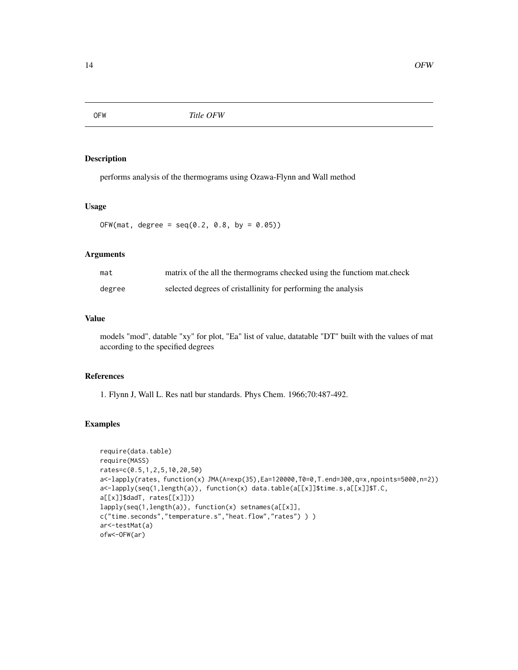<span id="page-13-0"></span>

performs analysis of the thermograms using Ozawa-Flynn and Wall method

### Usage

 $OFW(mat, degree = seq(0.2, 0.8, by = 0.05))$ 

#### Arguments

| mat    | matrix of the all the thermograms checked using the functiom mat.check |
|--------|------------------------------------------------------------------------|
| degree | selected degrees of cristallinity for performing the analysis          |

#### Value

models "mod", datable "xy" for plot, "Ea" list of value, datatable "DT" built with the values of mat according to the specified degrees

# References

1. Flynn J, Wall L. Res natl bur standards. Phys Chem. 1966;70:487-492.

```
require(data.table)
require(MASS)
rates=c(0.5,1,2,5,10,20,50)
a<-lapply(rates, function(x) JMA(A=exp(35),Ea=120000,T0=0,T.end=300,q=x,npoints=5000,n=2))
a<-lapply(seq(1,length(a)), function(x) data.table(a[[x]]$time.s,a[[x]]$T.C,
a[[x]]$dadT, rates[[x]]))
lapply(seq(1,length(a)), function(x) setnames(a[[x]],
c("time.seconds","temperature.s","heat.flow","rates") ) )
ar<-testMat(a)
ofw<-OFW(ar)
```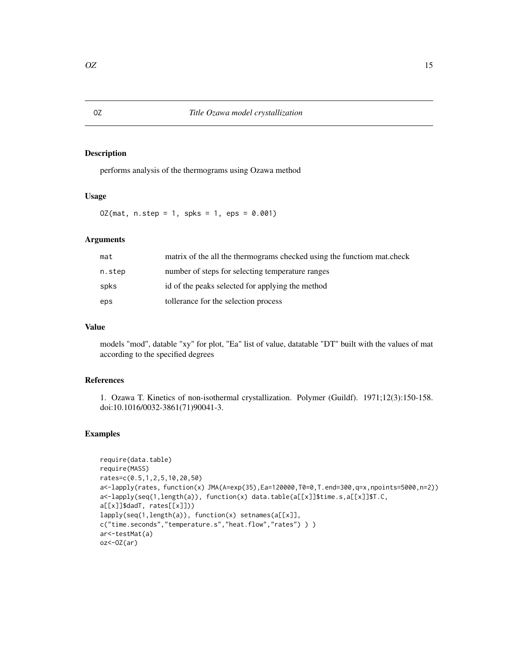<span id="page-14-0"></span>performs analysis of the thermograms using Ozawa method

#### Usage

 $OZ(mat, n.step = 1, spks = 1,eps = 0.001)$ 

# Arguments

| mat    | matrix of the all the thermograms checked using the function mat.check |
|--------|------------------------------------------------------------------------|
| n.step | number of steps for selecting temperature ranges                       |
| spks   | id of the peaks selected for applying the method                       |
| eps    | tollerance for the selection process                                   |

# Value

models "mod", datable "xy" for plot, "Ea" list of value, datatable "DT" built with the values of mat according to the specified degrees

# References

1. Ozawa T. Kinetics of non-isothermal crystallization. Polymer (Guildf). 1971;12(3):150-158. doi:10.1016/0032-3861(71)90041-3.

```
require(data.table)
require(MASS)
rates=c(0.5,1,2,5,10,20,50)
a<-lapply(rates, function(x) JMA(A=exp(35),Ea=120000,T0=0,T.end=300,q=x,npoints=5000,n=2))
a<-lapply(seq(1,length(a)), function(x) data.table(a[[x]]$time.s,a[[x]]$T.C,
a[[x]]$dadT, rates[[x]]))
lapply(seq(1,length(a)), function(x) setnames(a[[x]],
c("time.seconds","temperature.s","heat.flow","rates") ) )
ar<-testMat(a)
oz<-OZ(ar)
```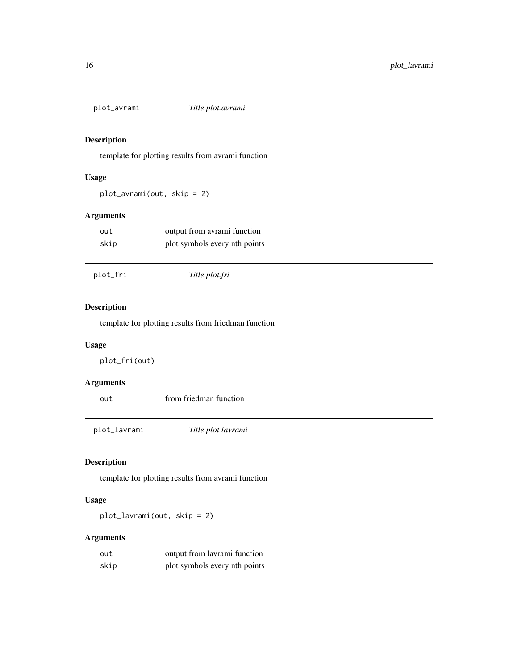<span id="page-15-0"></span>

template for plotting results from avrami function

# Usage

plot\_avrami(out, skip = 2)

# Arguments

| out  | output from avrami function   |
|------|-------------------------------|
| skip | plot symbols every nth points |

| plot_fri<br>Title plot.fri |  |
|----------------------------|--|
|----------------------------|--|

# Description

template for plotting results from friedman function

# Usage

plot\_fri(out)

# Arguments

| out          | from friedman function |  |  |  |
|--------------|------------------------|--|--|--|
|              |                        |  |  |  |
| plot_lavrami | Title plot lavrami     |  |  |  |

# Description

template for plotting results from avrami function

# Usage

plot\_lavrami(out, skip = 2)

# Arguments

| out  | output from lavrami function  |
|------|-------------------------------|
| skip | plot symbols every nth points |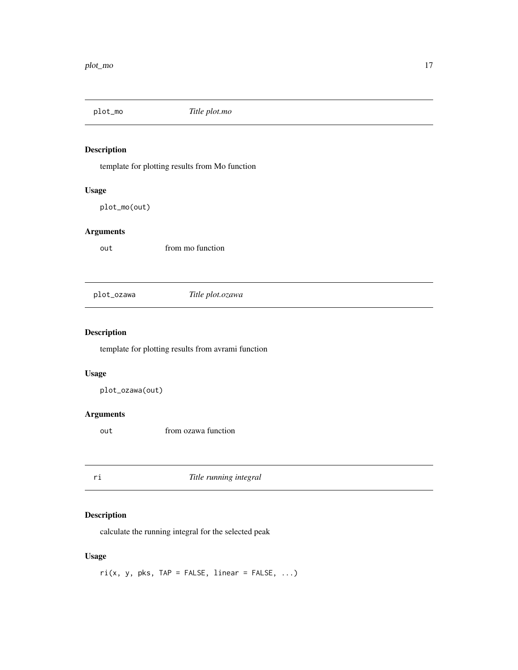<span id="page-16-0"></span>

template for plotting results from Mo function

# Usage

plot\_mo(out)

# Arguments

out from mo function

plot\_ozawa *Title plot.ozawa*

# Description

template for plotting results from avrami function

# Usage

plot\_ozawa(out)

# Arguments

out from ozawa function

ri *Title running integral*

# Description

calculate the running integral for the selected peak

# Usage

 $ri(x, y, pks, TAP = FALSE, linear = FALSE, ...)$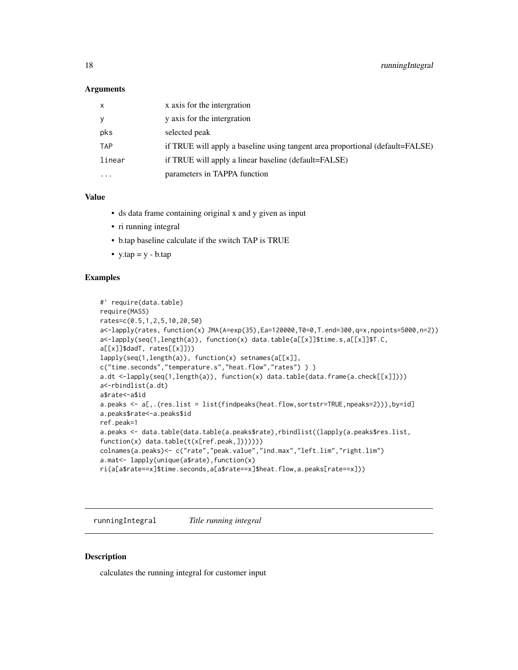#### <span id="page-17-0"></span>**Arguments**

| x          | x axis for the intergration                                                   |
|------------|-------------------------------------------------------------------------------|
| y          | y axis for the intergration                                                   |
| pks        | selected peak                                                                 |
| <b>TAP</b> | if TRUE will apply a baseline using tangent area proportional (default=FALSE) |
| linear     | if TRUE will apply a linear baseline (default=FALSE)                          |
| $\ddotsc$  | parameters in TAPPA function                                                  |

# Value

- ds data frame containing original x and y given as input
- ri running integral
- b.tap baseline calculate if the switch TAP is TRUE
- $y tap = y b.tap$

#### Examples

```
#' require(data.table)
require(MASS)
rates=c(0.5,1,2,5,10,20,50)
a<-lapply(rates, function(x) JMA(A=exp(35),Ea=120000,T0=0,T.end=300,q=x,npoints=5000,n=2))
a<-lapply(seq(1,length(a)), function(x) data.table(a[[x]]$time.s,a[[x]]$T.C,
a[[x]]$dadT, rates[[x]]))
lapply(seq(1,length(a)), function(x) setnames(a[[x]],
c("time.seconds","temperature.s","heat.flow","rates") ) )
a.dt <-lapply(seq(1,length(a)), function(x) data.table(data.frame(a.check[[x]])))
a<-rbindlist(a.dt)
a$rate<-a$id
a.peaks <- a[,.(res.list = list(findpeaks(heat.flow,sortstr=TRUE,npeaks=2))),by=id]
a.peaks$rate<-a.peaks$id
ref.peak=1
a.peaks <- data.table(data.table(a.peaks$rate),rbindlist((lapply(a.peaks$res.list,
function(x) data.table(t(x[ref.peak,]))))))
colnames(a.peaks)<- c("rate","peak.value","ind.max","left.lim","right.lim")
a.mat<- lapply(unique(a$rate),function(x)
ri(a[a$rate==x]$time.seconds,a[a$rate==x]$heat.flow,a.peaks[rate==x]))
```
runningIntegral *Title running integral*

#### Description

calculates the running integral for customer input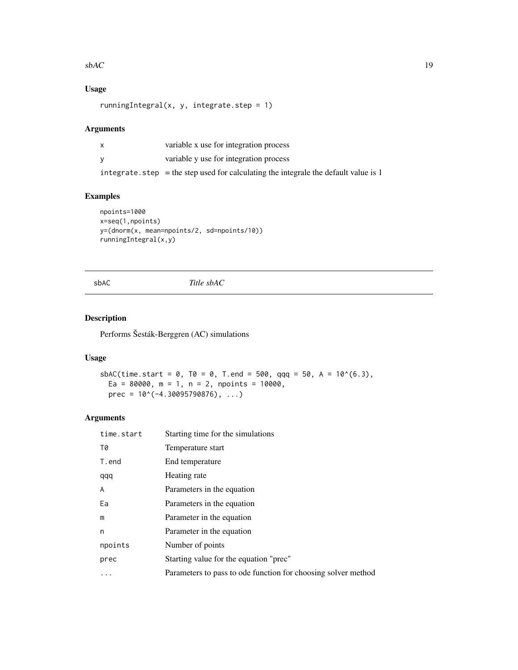#### <span id="page-18-0"></span> $s$ bAC 19

# Usage

runningIntegral(x, y, integrate.step =  $1$ )

#### Arguments

| X        | variable x use for integration process                                                 |
|----------|----------------------------------------------------------------------------------------|
| <b>V</b> | variable y use for integration process                                                 |
|          | integrate. step $=$ the step used for calculating the integrale the default value is 1 |

#### Examples

```
npoints=1000
x=seq(1,npoints)
y=(dnorm(x, mean=npoints/2, sd=npoints/10))
runningIntegral(x,y)
```
sbAC *Title sbAC*

# Description

Performs Šesták-Berggren (AC) simulations

# Usage

```
sbAC(time.start = 0, T0 = 0, T.end = 500, qqq = 50, A = 10^{6}(6.3),
 Ea = 80000, m = 1, n = 2, npoints = 10000,
 prec = 10^*(-4.30095790876), ...)
```
# Arguments

| time.start | Starting time for the simulations                             |
|------------|---------------------------------------------------------------|
| T0         | Temperature start                                             |
| T.end      | End temperature                                               |
| qqq        | Heating rate                                                  |
| A          | Parameters in the equation                                    |
| Ea         | Parameters in the equation                                    |
| m          | Parameter in the equation                                     |
| n          | Parameter in the equation                                     |
| npoints    | Number of points                                              |
| prec       | Starting value for the equation "prec"                        |
| .          | Parameters to pass to ode function for choosing solver method |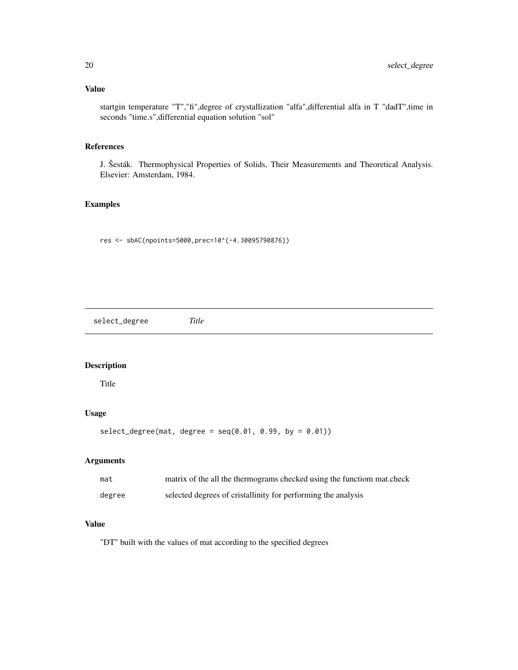# <span id="page-19-0"></span>Value

startgin temperature "T","fi",degree of crystallization "alfa",differential alfa in T "dadT",time in seconds "time.s",differential equation solution "sol"

# References

J. Šesták. Thermophysical Properties of Solids, Their Measurements and Theoretical Analysis. Elsevier: Amsterdam, 1984.

# Examples

res <- sbAC(npoints=5000,prec=10^(-4.30095790876))

select\_degree *Title*

# Description

Title

# Usage

```
select\_degree(mat, degree = seq(0.01, 0.99, by = 0.01))
```
# Arguments

| mat    | matrix of the all the thermograms checked using the functiom mat.check |
|--------|------------------------------------------------------------------------|
| degree | selected degrees of cristallinity for performing the analysis          |

# Value

"DT" built with the values of mat according to the specified degrees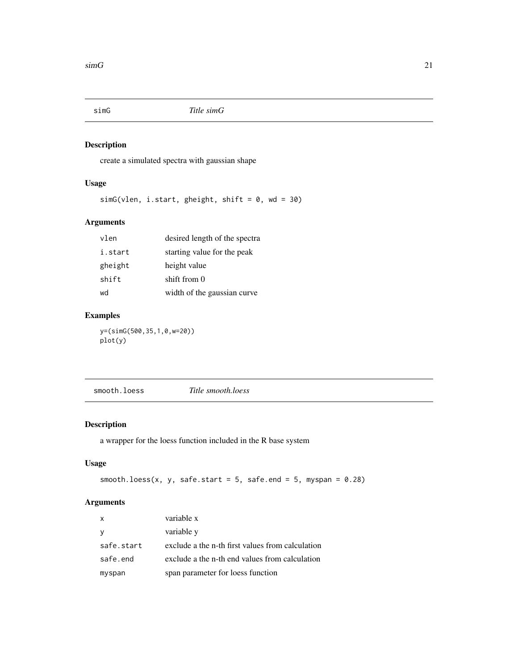<span id="page-20-0"></span>

create a simulated spectra with gaussian shape

# Usage

 $simG(vlen, i.start, gheight, shift = 0, wd = 30)$ 

# Arguments

| vlen    | desired length of the spectra |
|---------|-------------------------------|
| i.start | starting value for the peak   |
| gheight | height value                  |
| shift   | shift from 0                  |
| wd      | width of the gaussian curve   |

# Examples

y=(simG(500,35,1,0,w=20)) plot(y)

smooth.loess *Title smooth.loess*

# Description

a wrapper for the loess function included in the R base system

# Usage

```
smooth.loess(x, y, safe.start = 5, safe.end = 5, myspan = 0.28)
```
# Arguments

| $\boldsymbol{\mathsf{x}}$ | variable x                                       |
|---------------------------|--------------------------------------------------|
| <b>V</b>                  | variable y                                       |
| safe.start                | exclude a the n-th first values from calculation |
| safe.end                  | exclude a the n-th end values from calculation   |
| myspan                    | span parameter for loess function                |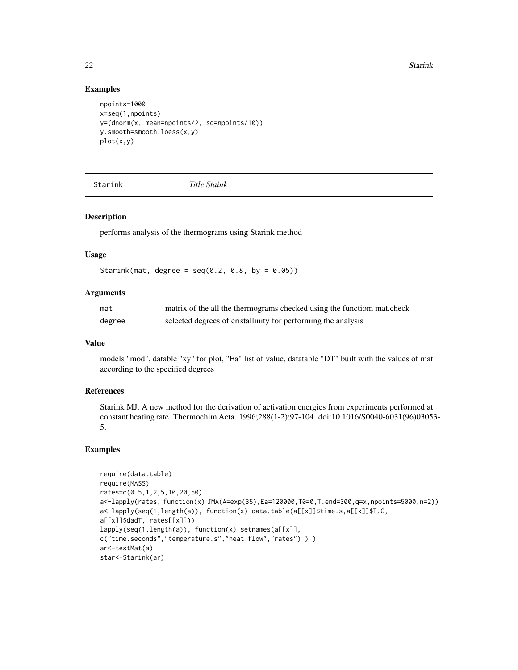22 Starink

#### Examples

```
npoints=1000
x=seq(1,npoints)
y=(dnorm(x, mean=npoints/2, sd=npoints/10))
y.smooth=smooth.loess(x,y)
plot(x,y)
```
Starink *Title Staink*

#### Description

performs analysis of the thermograms using Starink method

#### Usage

Starink(mat, degree =  $seq(0.2, 0.8, by = 0.05)$ )

# Arguments

| mat    | matrix of the all the thermograms checked using the functiom mat.check |
|--------|------------------------------------------------------------------------|
| degree | selected degrees of cristallinity for performing the analysis          |

#### Value

models "mod", datable "xy" for plot, "Ea" list of value, datatable "DT" built with the values of mat according to the specified degrees

# References

Starink MJ. A new method for the derivation of activation energies from experiments performed at constant heating rate. Thermochim Acta. 1996;288(1-2):97-104. doi:10.1016/S0040-6031(96)03053- 5.

```
require(data.table)
require(MASS)
rates=c(0.5,1,2,5,10,20,50)
a<-lapply(rates, function(x) JMA(A=exp(35),Ea=120000,T0=0,T.end=300,q=x,npoints=5000,n=2))
a<-lapply(seq(1,length(a)), function(x) data.table(a[[x]]$time.s,a[[x]]$T.C,
a[[x]]$dadT, rates[[x]]))
lapply(seq(1,length(a)), function(x) setnames(a[[x]],
c("time.seconds","temperature.s","heat.flow","rates") ) )
ar<-testMat(a)
star<-Starink(ar)
```
<span id="page-21-0"></span>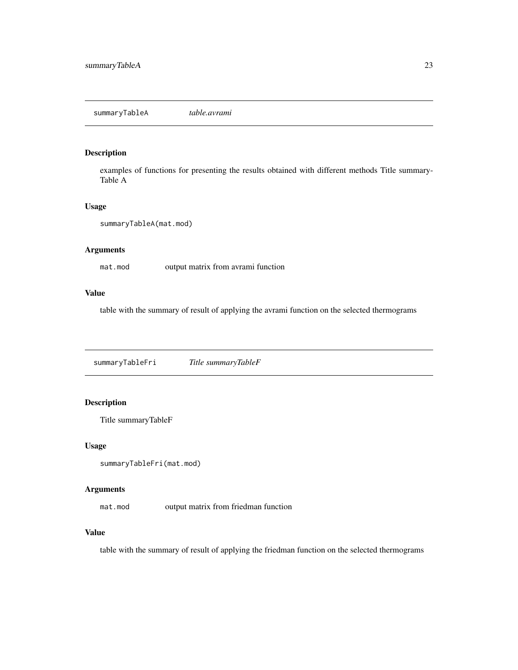<span id="page-22-0"></span>examples of functions for presenting the results obtained with different methods Title summary-Table A

#### Usage

```
summaryTableA(mat.mod)
```
#### Arguments

mat.mod output matrix from avrami function

# Value

table with the summary of result of applying the avrami function on the selected thermograms

summaryTableFri *Title summaryTableF*

# Description

Title summaryTableF

#### Usage

```
summaryTableFri(mat.mod)
```
### Arguments

mat.mod output matrix from friedman function

#### Value

table with the summary of result of applying the friedman function on the selected thermograms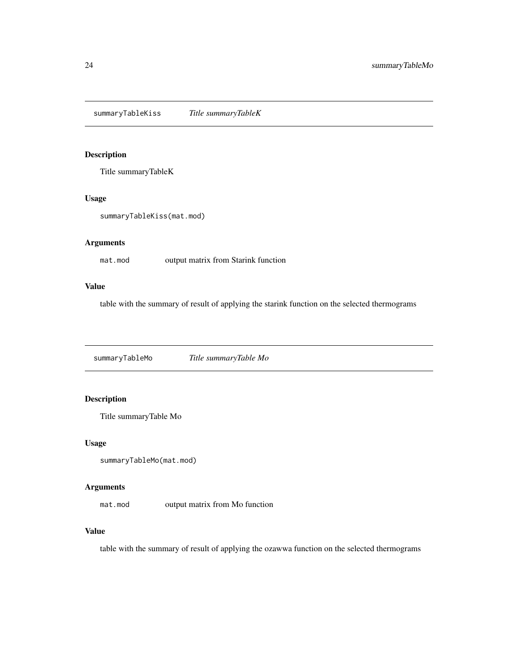<span id="page-23-0"></span>summaryTableKiss *Title summaryTableK*

# Description

Title summaryTableK

#### Usage

```
summaryTableKiss(mat.mod)
```
# Arguments

mat.mod output matrix from Starink function

## Value

table with the summary of result of applying the starink function on the selected thermograms

summaryTableMo *Title summaryTable Mo*

# Description

Title summaryTable Mo

#### Usage

```
summaryTableMo(mat.mod)
```
#### Arguments

mat.mod output matrix from Mo function

### Value

table with the summary of result of applying the ozawwa function on the selected thermograms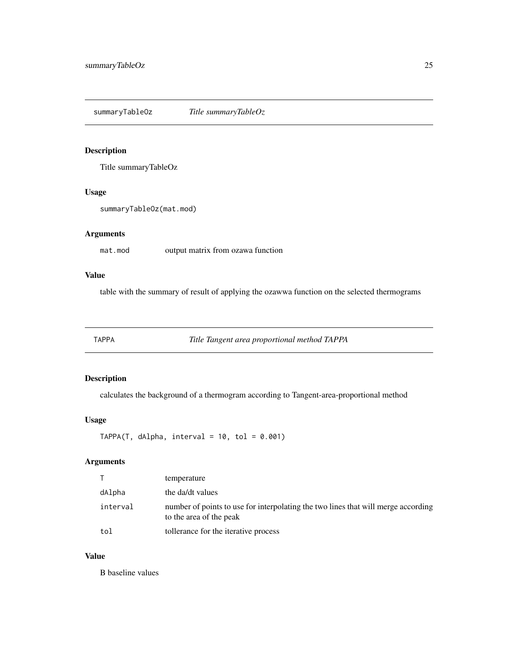<span id="page-24-0"></span>summaryTableOz *Title summaryTableOz*

#### Description

Title summaryTableOz

## Usage

summaryTableOz(mat.mod)

# Arguments

mat.mod output matrix from ozawa function

# Value

table with the summary of result of applying the ozawwa function on the selected thermograms

TAPPA *Title Tangent area proportional method TAPPA*

# Description

calculates the background of a thermogram according to Tangent-area-proportional method

#### Usage

 $TAPPA(T, dAlpha, interval = 10, tol = 0.001)$ 

# Arguments

|          | temperature                                                                                                  |
|----------|--------------------------------------------------------------------------------------------------------------|
| dAlpha   | the da/dt values                                                                                             |
| interval | number of points to use for interpolating the two lines that will merge according<br>to the area of the peak |
| tol      | tollerance for the iterative process                                                                         |

#### Value

B baseline values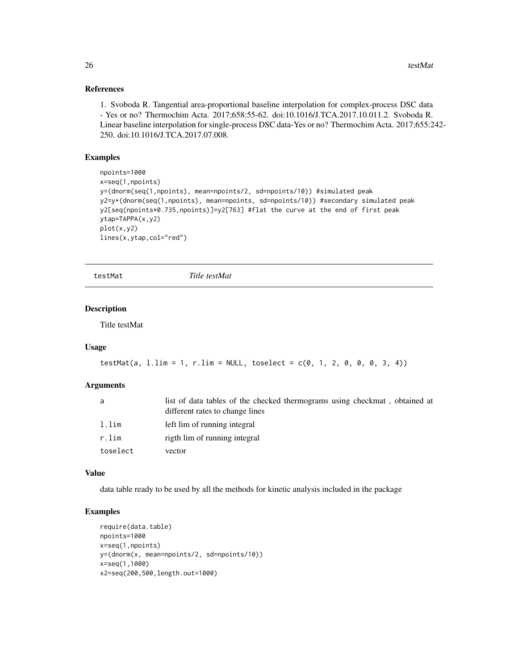#### References

1. Svoboda R. Tangential area-proportional baseline interpolation for complex-process DSC data - Yes or no? Thermochim Acta. 2017;658:55-62. doi:10.1016/J.TCA.2017.10.011.2. Svoboda R. Linear baseline interpolation for single-process DSC data-Yes or no? Thermochim Acta. 2017;655:242- 250. doi:10.1016/J.TCA.2017.07.008.

# Examples

```
npoints=1000
x=seq(1,npoints)
y=(dnorm(seq(1,npoints), mean=npoints/2, sd=npoints/10)) #simulated peak
y2=y+(dnorm(seq(1,npoints), mean=npoints, sd=npoints/10)) #secondary simulated peak
y2[seq(npoints*0.735,npoints)]=y2[763] #flat the curve at the end of first peak
ytap=TAPPA(x,y2)
plot(x,y2)
lines(x,ytap,col="red")
```
testMat *Title testMat*

#### Description

Title testMat

#### Usage

```
testMat(a, 1.lim = 1, r.lim = NULL, toselect = c(0, 1, 2, 0, 0, 0, 3, 4))
```
#### **Arguments**

| a        | list of data tables of the checked thermograms using checkmat, obtained at<br>different rates to change lines |
|----------|---------------------------------------------------------------------------------------------------------------|
| l.lim    | left lim of running integral                                                                                  |
| r.lim    | rigth lim of running integral                                                                                 |
| toselect | vector                                                                                                        |

#### Value

data table ready to be used by all the methods for kinetic analysis included in the package

```
require(data.table)
npoints=1000
x=seq(1,npoints)
y=(dnorm(x, mean=npoints/2, sd=npoints/10))
x=seq(1,1000)
x2=seq(200,500,length.out=1000)
```
<span id="page-25-0"></span>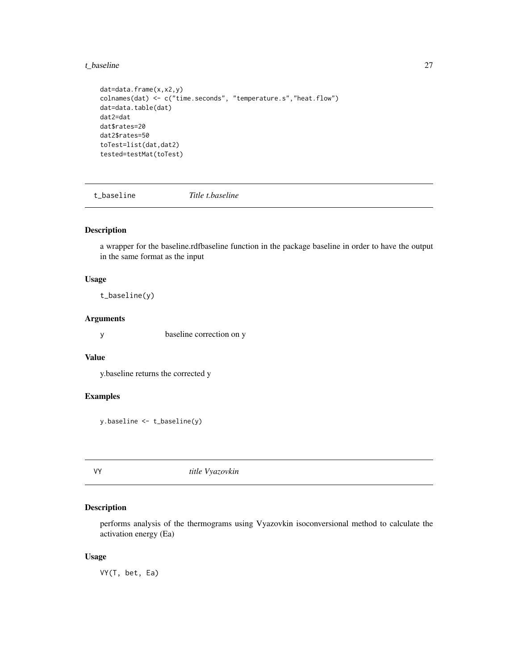<span id="page-26-0"></span>t\_baseline 27

```
dat=data.frame(x,x2,y)
colnames(dat) <- c("time.seconds", "temperature.s","heat.flow")
dat=data.table(dat)
dat2=dat
dat$rates=20
dat2$rates=50
toTest=list(dat,dat2)
tested=testMat(toTest)
```
t\_baseline *Title t.baseline*

# Description

a wrapper for the baseline.rdfbaseline function in the package baseline in order to have the output in the same format as the input

# Usage

t\_baseline(y)

#### Arguments

y baseline correction on y

# Value

y.baseline returns the corrected y

# Examples

y.baseline <- t\_baseline(y)

# VY *title Vyazovkin*

# Description

performs analysis of the thermograms using Vyazovkin isoconversional method to calculate the activation energy (Ea)

#### Usage

VY(T, bet, Ea)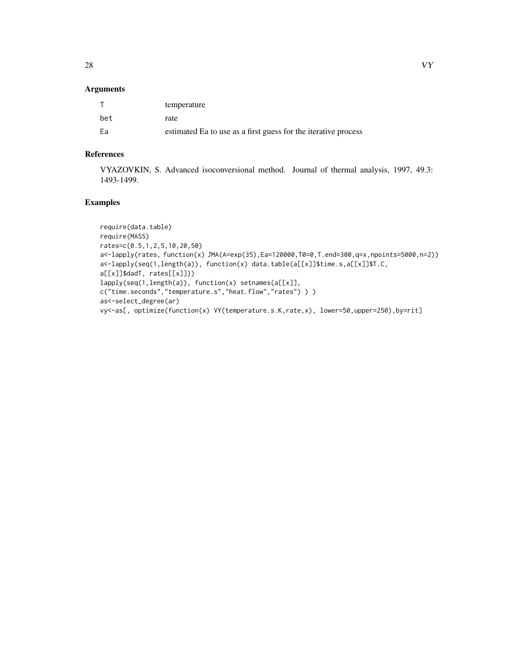### Arguments

|     | temperature                                                    |
|-----|----------------------------------------------------------------|
| bet | rate                                                           |
| Fa  | estimated Ea to use as a first guess for the iterative process |

# References

VYAZOVKIN, S. Advanced isoconversional method. Journal of thermal analysis, 1997, 49.3: 1493-1499.

```
require(data.table)
require(MASS)
rates=c(0.5,1,2,5,10,20,50)
a<-lapply(rates, function(x) JMA(A=exp(35),Ea=120000,T0=0,T.end=300,q=x,npoints=5000,n=2))
a<-lapply(seq(1,length(a)), function(x) data.table(a[[x]]$time.s,a[[x]]$T.C,
a[[x]]$dadT, rates[[x]]))
lapply(seq(1,length(a)), function(x) setnames(a[[x]],
c("time.seconds","temperature.s","heat.flow","rates") ) )
as<-select_degree(ar)
vy<-as[, optimize(function(x) VY(temperature.s.K,rate,x), lower=50,upper=250),by=rit]
```